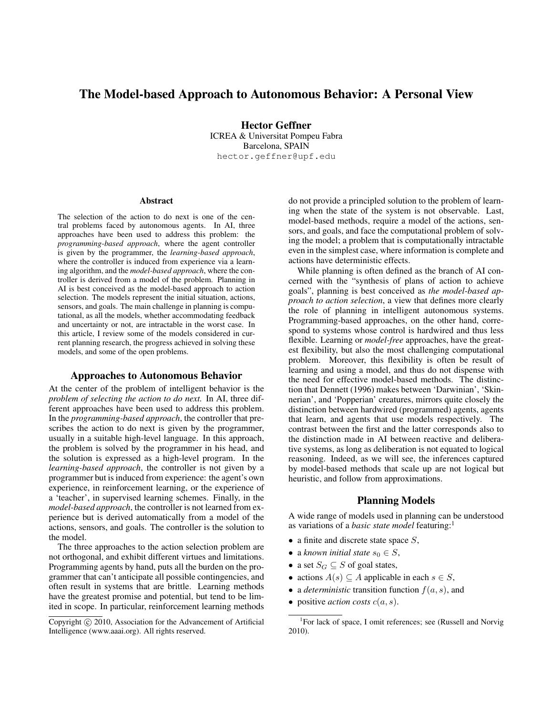# The Model-based Approach to Autonomous Behavior: A Personal View

Hector Geffner ICREA & Universitat Pompeu Fabra Barcelona, SPAIN hector.geffner@upf.edu

#### Abstract

The selection of the action to do next is one of the central problems faced by autonomous agents. In AI, three approaches have been used to address this problem: the *programming-based approach*, where the agent controller is given by the programmer, the *learning-based approach*, where the controller is induced from experience via a learning algorithm, and the *model-based approach*, where the controller is derived from a model of the problem. Planning in AI is best conceived as the model-based approach to action selection. The models represent the initial situation, actions, sensors, and goals. The main challenge in planning is computational, as all the models, whether accommodating feedback and uncertainty or not, are intractable in the worst case. In this article, I review some of the models considered in current planning research, the progress achieved in solving these models, and some of the open problems.

### Approaches to Autonomous Behavior

At the center of the problem of intelligent behavior is the *problem of selecting the action to do next.* In AI, three different approaches have been used to address this problem. In the *programming-based approach*, the controller that prescribes the action to do next is given by the programmer, usually in a suitable high-level language. In this approach, the problem is solved by the programmer in his head, and the solution is expressed as a high-level program. In the *learning-based approach*, the controller is not given by a programmer but is induced from experience: the agent's own experience, in reinforcement learning, or the experience of a 'teacher', in supervised learning schemes. Finally, in the *model-based approach*, the controller is not learned from experience but is derived automatically from a model of the actions, sensors, and goals. The controller is the solution to the model.

The three approaches to the action selection problem are not orthogonal, and exhibit different virtues and limitations. Programming agents by hand, puts all the burden on the programmer that can't anticipate all possible contingencies, and often result in systems that are brittle. Learning methods have the greatest promise and potential, but tend to be limited in scope. In particular, reinforcement learning methods do not provide a principled solution to the problem of learning when the state of the system is not observable. Last, model-based methods, require a model of the actions, sensors, and goals, and face the computational problem of solving the model; a problem that is computationally intractable even in the simplest case, where information is complete and actions have deterministic effects.

While planning is often defined as the branch of AI concerned with the "synthesis of plans of action to achieve goals", planning is best conceived as *the model-based approach to action selection*, a view that defines more clearly the role of planning in intelligent autonomous systems. Programming-based approaches, on the other hand, correspond to systems whose control is hardwired and thus less flexible. Learning or *model-free* approaches, have the greatest flexibility, but also the most challenging computational problem. Moreover, this flexibility is often be result of learning and using a model, and thus do not dispense with the need for effective model-based methods. The distinction that Dennett (1996) makes between 'Darwinian', 'Skinnerian', and 'Popperian' creatures, mirrors quite closely the distinction between hardwired (programmed) agents, agents that learn, and agents that use models respectively. The contrast between the first and the latter corresponds also to the distinction made in AI between reactive and deliberative systems, as long as deliberation is not equated to logical reasoning. Indeed, as we will see, the inferences captured by model-based methods that scale up are not logical but heuristic, and follow from approximations.

## Planning Models

A wide range of models used in planning can be understood as variations of a *basic state model* featuring:<sup>1</sup>

- a finite and discrete state space  $S$ ,
- a *known initial state*  $s_0 \in S$ ,
- a set  $S_G \subseteq S$  of goal states,
- actions  $A(s) \subseteq A$  applicable in each  $s \in S$ ,
- a *deterministic* transition function  $f(a, s)$ , and
- positive *action costs*  $c(a, s)$ .

Copyright (c) 2010, Association for the Advancement of Artificial Intelligence (www.aaai.org). All rights reserved.

<sup>&</sup>lt;sup>1</sup>For lack of space, I omit references; see (Russell and Norvig 2010).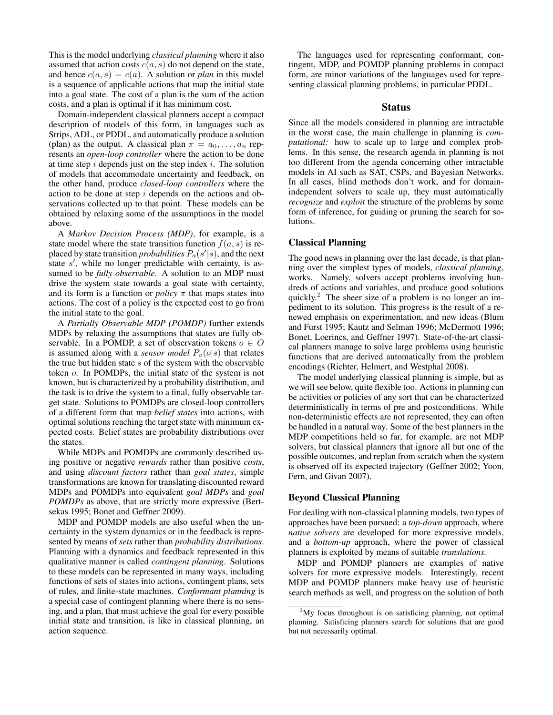This is the model underlying *classical planning* where it also assumed that action costs  $c(a, s)$  do not depend on the state, and hence  $c(a, s) = c(a)$ . A solution or *plan* in this model is a sequence of applicable actions that map the initial state into a goal state. The cost of a plan is the sum of the action costs, and a plan is optimal if it has minimum cost.

Domain-independent classical planners accept a compact description of models of this form, in languages such as Strips, ADL, or PDDL, and automatically produce a solution (plan) as the output. A classical plan  $\pi = a_0, \ldots, a_n$  represents an *open-loop controller* where the action to be done at time step  $i$  depends just on the step index  $i$ . The solution of models that accommodate uncertainty and feedback, on the other hand, produce *closed-loop controllers* where the action to be done at step  $i$  depends on the actions and observations collected up to that point. These models can be obtained by relaxing some of the assumptions in the model above.

A *Markov Decision Process (MDP)*, for example, is a state model where the state transition function  $f(a, s)$  is replaced by state transition *probabilities*  $P_a(s'|s)$ , and the next state  $s'$ , while no longer predictable with certainty, is assumed to be *fully observable.* A solution to an MDP must drive the system state towards a goal state with certainty, and its form is a function or *policy*  $\pi$  that maps states into actions. The cost of a policy is the expected cost to go from the initial state to the goal.

A *Partially Observable MDP (POMDP)* further extends MDPs by relaxing the assumptions that states are fully observable. In a POMDP, a set of observation tokens  $o \in O$ is assumed along with a *sensor model*  $P_a(o|s)$  that relates the true but hidden state  $s$  of the system with the observable token o. In POMDPs, the initial state of the system is not known, but is characterized by a probability distribution, and the task is to drive the system to a final, fully observable target state. Solutions to POMDPs are closed-loop controllers of a different form that map *belief states* into actions, with optimal solutions reaching the target state with minimum expected costs. Belief states are probability distributions over the states.

While MDPs and POMDPs are commonly described using positive or negative *rewards* rather than positive *costs*, and using *discount factors* rather than *goal states*, simple transformations are known for translating discounted reward MDPs and POMDPs into equivalent *goal MDPs* and *goal POMDPs* as above, that are strictly more expressive (Bertsekas 1995; Bonet and Geffner 2009).

MDP and POMDP models are also useful when the uncertainty in the system dynamics or in the feedback is represented by means of *sets* rather than *probability distributions*. Planning with a dynamics and feedback represented in this qualitative manner is called *contingent planning*. Solutions to these models can be represented in many ways, including functions of sets of states into actions, contingent plans, sets of rules, and finite-state machines. *Conformant planning* is a special case of contingent planning where there is no sensing, and a plan, that must achieve the goal for every possible initial state and transition, is like in classical planning, an action sequence.

The languages used for representing conformant, contingent, MDP, and POMDP planning problems in compact form, are minor variations of the languages used for representing classical planning problems, in particular PDDL.

### Status

Since all the models considered in planning are intractable in the worst case, the main challenge in planning is *computational:* how to scale up to large and complex problems. In this sense, the research agenda in planning is not too different from the agenda concerning other intractable models in AI such as SAT, CSPs, and Bayesian Networks. In all cases, blind methods don't work, and for domainindependent solvers to scale up, they must automatically *recognize* and *exploit* the structure of the problems by some form of inference, for guiding or pruning the search for solutions.

## Classical Planning

The good news in planning over the last decade, is that planning over the simplest types of models, *classical planning*, works. Namely, solvers accept problems involving hundreds of actions and variables, and produce good solutions quickly.<sup>2</sup> The sheer size of a problem is no longer an impediment to its solution. This progress is the result of a renewed emphasis on experimentation, and new ideas (Blum and Furst 1995; Kautz and Selman 1996; McDermott 1996; Bonet, Loerincs, and Geffner 1997). State-of-the-art classical planners manage to solve large problems using heuristic functions that are derived automatically from the problem encodings (Richter, Helmert, and Westphal 2008).

The model underlying classical planning is simple, but as we will see below, quite flexible too. Actions in planning can be activities or policies of any sort that can be characterized deterministically in terms of pre and postconditions. While non-deterministic effects are not represented, they can often be handled in a natural way. Some of the best planners in the MDP competitions held so far, for example, are not MDP solvers, but classical planners that ignore all but one of the possible outcomes, and replan from scratch when the system is observed off its expected trajectory (Geffner 2002; Yoon, Fern, and Givan 2007).

### Beyond Classical Planning

For dealing with non-classical planning models, two types of approaches have been pursued: a *top-down* approach, where *native solvers* are developed for more expressive models, and a *bottom-up* approach, where the power of classical planners is exploited by means of suitable *translations.*

MDP and POMDP planners are examples of native solvers for more expressive models. Interestingly, recent MDP and POMDP planners make heavy use of heuristic search methods as well, and progress on the solution of both

 $2^2$ My focus throughout is on satisficing planning, not optimal planning. Satisficing planners search for solutions that are good but not necessarily optimal.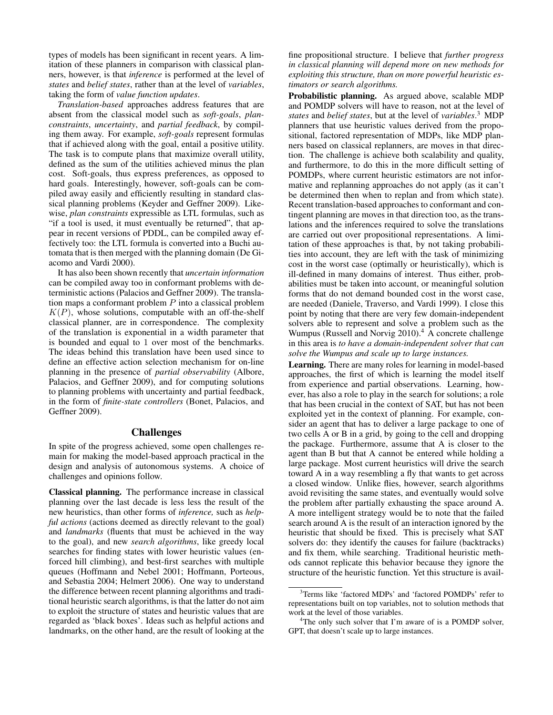types of models has been significant in recent years. A limitation of these planners in comparison with classical planners, however, is that *inference* is performed at the level of *states* and *belief states*, rather than at the level of *variables*, taking the form of *value function updates*.

*Translation-based* approaches address features that are absent from the classical model such as *soft-goals*, *planconstraints*, *uncertainty*, and *partial feedback*, by compiling them away. For example, *soft-goals* represent formulas that if achieved along with the goal, entail a positive utility. The task is to compute plans that maximize overall utility, defined as the sum of the utilities achieved minus the plan cost. Soft-goals, thus express preferences, as opposed to hard goals. Interestingly, however, soft-goals can be compiled away easily and efficiently resulting in standard classical planning problems (Keyder and Geffner 2009). Likewise, *plan constraints* expressible as LTL formulas, such as "if a tool is used, it must eventually be returned", that appear in recent versions of PDDL, can be compiled away effectively too: the LTL formula is converted into a Buchi automata that is then merged with the planning domain (De Giacomo and Vardi 2000).

It has also been shown recently that *uncertain information* can be compiled away too in conformant problems with deterministic actions (Palacios and Geffner 2009). The translation maps a conformant problem  $P$  into a classical problem  $K(P)$ , whose solutions, computable with an off-the-shelf classical planner, are in correspondence. The complexity of the translation is exponential in a width parameter that is bounded and equal to 1 over most of the benchmarks. The ideas behind this translation have been used since to define an effective action selection mechanism for on-line planning in the presence of *partial observability* (Albore, Palacios, and Geffner 2009), and for computing solutions to planning problems with uncertainty and partial feedback, in the form of *finite-state controllers* (Bonet, Palacios, and Geffner 2009).

## Challenges

In spite of the progress achieved, some open challenges remain for making the model-based approach practical in the design and analysis of autonomous systems. A choice of challenges and opinions follow.

Classical planning. The performance increase in classical planning over the last decade is less less the result of the new heuristics, than other forms of *inference,* such as *helpful actions* (actions deemed as directly relevant to the goal) and *landmarks* (fluents that must be achieved in the way to the goal), and new *search algorithms*, like greedy local searches for finding states with lower heuristic values (enforced hill climbing), and best-first searches with multiple queues (Hoffmann and Nebel 2001; Hoffmann, Porteous, and Sebastia 2004; Helmert 2006). One way to understand the difference between recent planning algorithms and traditional heuristic search algorithms, is that the latter do not aim to exploit the structure of states and heuristic values that are regarded as 'black boxes'. Ideas such as helpful actions and landmarks, on the other hand, are the result of looking at the fine propositional structure. I believe that *further progress in classical planning will depend more on new methods for exploiting this structure, than on more powerful heuristic estimators or search algorithms.*

Probabilistic planning. As argued above, scalable MDP and POMDP solvers will have to reason, not at the level of *states* and *belief states*, but at the level of *variables*. <sup>3</sup> MDP planners that use heuristic values derived from the propositional, factored representation of MDPs, like MDP planners based on classical replanners, are moves in that direction. The challenge is achieve both scalability and quality, and furthermore, to do this in the more difficult setting of POMDPs, where current heuristic estimators are not informative and replanning approaches do not apply (as it can't be determined then when to replan and from which state). Recent translation-based approaches to conformant and contingent planning are moves in that direction too, as the translations and the inferences required to solve the translations are carried out over propositional representations. A limitation of these approaches is that, by not taking probabilities into account, they are left with the task of minimizing cost in the worst case (optimally or heuristically), which is ill-defined in many domains of interest. Thus either, probabilities must be taken into account, or meaningful solution forms that do not demand bounded cost in the worst case, are needed (Daniele, Traverso, and Vardi 1999). I close this point by noting that there are very few domain-independent solvers able to represent and solve a problem such as the Wumpus (Russell and Norvig 2010).<sup>4</sup> A concrete challenge in this area is *to have a domain-independent solver that can solve the Wumpus and scale up to large instances.*

Learning. There are many roles for learning in model-based approaches, the first of which is learning the model itself from experience and partial observations. Learning, however, has also a role to play in the search for solutions; a role that has been crucial in the context of SAT, but has not been exploited yet in the context of planning. For example, consider an agent that has to deliver a large package to one of two cells A or B in a grid, by going to the cell and dropping the package. Furthermore, assume that A is closer to the agent than B but that A cannot be entered while holding a large package. Most current heuristics will drive the search toward A in a way resembling a fly that wants to get across a closed window. Unlike flies, however, search algorithms avoid revisiting the same states, and eventually would solve the problem after partially exhausting the space around A. A more intelligent strategy would be to note that the failed search around A is the result of an interaction ignored by the heuristic that should be fixed. This is precisely what SAT solvers do: they identify the causes for failure (backtracks) and fix them, while searching. Traditional heuristic methods cannot replicate this behavior because they ignore the structure of the heuristic function. Yet this structure is avail-

<sup>&</sup>lt;sup>3</sup>Terms like 'factored MDPs' and 'factored POMDPs' refer to representations built on top variables, not to solution methods that work at the level of those variables.

<sup>&</sup>lt;sup>4</sup>The only such solver that I'm aware of is a POMDP solver, GPT, that doesn't scale up to large instances.